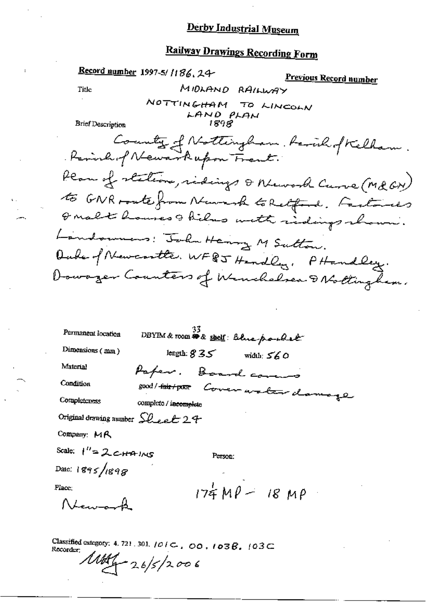# Railway Drawings Recording Form

 $\cdot$ 

|                                  | Record number 1997-5/1186, 24-      | <u>Previous Record number</u>                                                                      |
|----------------------------------|-------------------------------------|----------------------------------------------------------------------------------------------------|
| Title                            |                                     | MIDLAND RAILWAY                                                                                    |
| <b>Brief Description</b>         | NOTTINGHAM TO LINCOLN<br>LAND PLAN  |                                                                                                    |
|                                  | Period of Newarkupon Frent.         | County of Nottingham, haven of Kelham.                                                             |
|                                  |                                     | Plan of stations, ridings & Nework Curve (Md GN)<br>to GNR route from Newark to Retford. Factories |
|                                  |                                     | I malt houses I hils with ridings shown.                                                           |
|                                  | Landonnes: John Henry M Sutton.     |                                                                                                    |
|                                  |                                     | Oute of Newcontte, WF8J Hendley, PHandley.                                                         |
|                                  |                                     | Dowager Counters of Winchelsen & Nottinghem.                                                       |
| Permanent location               | DBYIM & room # & shelf: Blue poulet |                                                                                                    |
| Dimensions (mm)                  | length: $835$                       | width: 560                                                                                         |
| Material                         | Paper. Board corers                 |                                                                                                    |
| Condition                        | good / <del>fair / poor</del>       | Cover water damage                                                                                 |
| Completeness                     | complete / incomplete               |                                                                                                    |
| Original drawing number Sheet 24 |                                     |                                                                                                    |
| Company: MR                      |                                     |                                                                                                    |
| Scale: 1"=2 cHAING               | Person:                             |                                                                                                    |
| Date: 1895/1898                  |                                     |                                                                                                    |
| Place;                           |                                     | $174MP - 18 MP$                                                                                    |

Classified category: 4, 721, 301,  $101 \text{ C}$ , 00,  $103 \text{ B}$ ,  $103 \text{ C}$ <br>Recorder:  $\angle$  $1004 - 26/5/2006$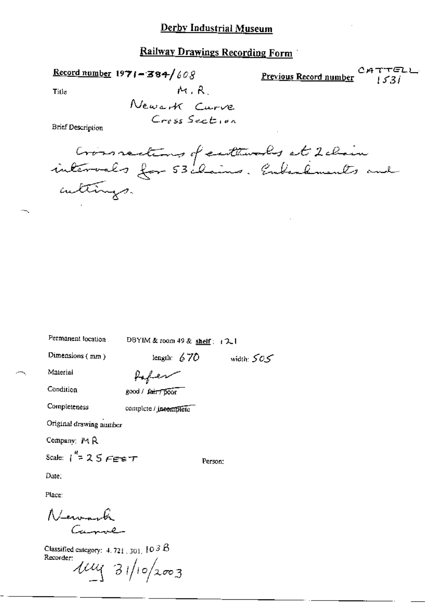Railway Drawings Recording Form

Record number  $1971 - 384/608$ ひでんし CА Previous Record number  $1531$  $M, R$ Title Newark Curve Cross Section **Brief Description** 

| Crossrections of eathwarks at 2 chain |  |
|---------------------------------------|--|
| cultings.                             |  |

| Permanent location                           | DBYIM & room 49 & shelf: (21 |              |  |  |
|----------------------------------------------|------------------------------|--------------|--|--|
| Dimensions $(mn)$                            | length: $670$                | width: $505$ |  |  |
| Material                                     |                              |              |  |  |
| Condition                                    | good / fair7 poor            |              |  |  |
| Completeness                                 | complete / incomplete        |              |  |  |
| Original drawing number                      |                              |              |  |  |
| Company: MR                                  |                              |              |  |  |
| Scale: $1^{12}$ = 2.5 $F$ energy             |                              | Person;      |  |  |
| Date:                                        |                              |              |  |  |
| Place:                                       |                              |              |  |  |
| Newark                                       |                              |              |  |  |
| Classified categories $1.22 \times 10^{3}$ D |                              |              |  |  |

1. 721 . 301. . Recorder:  $\mu$  31/10/2003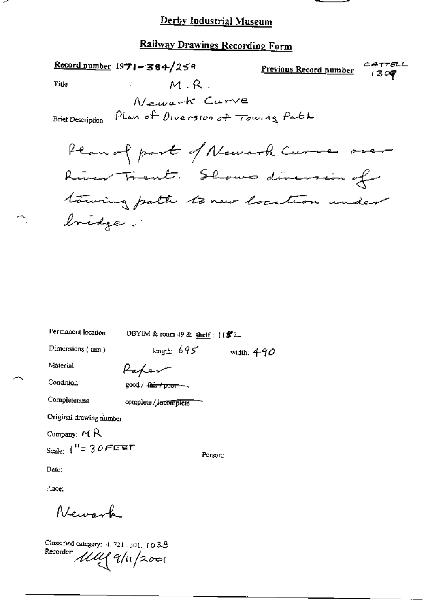#### Railway Drawings Recording Form

Record number  $1971 - 364/259$ CATTELL Previous Record number  $1309$  $M, R$ . Title Newark Carve PLan of Diversion of Towing Path **Brief Description** Plan of part of Newark Curre over River Frent. Shows diversion of towing path to new location under Inidge.

Permanent location DBYIM & room 49 & shelf:  $[(\mathcal{L}2)$ length:  $695$  width:  $490$ Dimensions  $(mm)$ Material Paper Condition good / fair / poor ~~ Completeness complete / incomplete Original drawing number Company:  $MR$ Scale:  $1'' = 30$ FEET Person: Date:

Place:

Atenzante

Classified category: 4, 721, 301, 103.B Recorder *UM* 9/11/2001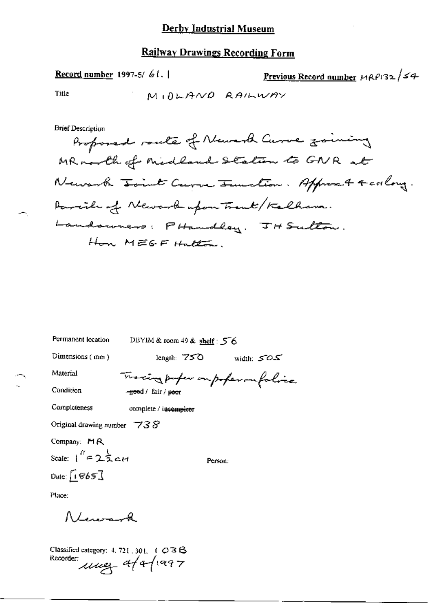#### **Railway Drawings Recording Form**

<u>Previous Record number</u>  $MRP132/54$ Record number 1997-5/ 61.1 Title MIDLAND RAILWAY **Brief Description** Proposed route of Newark Curve zoining MR north of Midland Station to GNR at Newark Joint Curve Junction. Approach 4 coolong. Parrille of Newark upon Trent/Kalhama. Landswices: PHandley, JH Sulton. Hon MEGFHatton

| rermanent tocation<br>DBYIM & room 49 & shelf : $\leq 6$ |                                  |              |  |  |
|----------------------------------------------------------|----------------------------------|--------------|--|--|
| Dimensions (mm)                                          | length: $750$                    | width: $505$ |  |  |
| Material                                                 | Tracing paper on poper on folice |              |  |  |
| Condition                                                | -good / fair / poor              |              |  |  |
| Completeness                                             | complete / incomplete            |              |  |  |
| Original drawing number $\overline{738}$                 |                                  |              |  |  |
| Company: $M R$                                           |                                  |              |  |  |
| Scale: $1^{\prime\prime}$ = 25 c H                       | Person:                          |              |  |  |
| Date: $\sqrt{1865}$                                      |                                  |              |  |  |
| Place:                                                   |                                  |              |  |  |
| RLeward                                                  |                                  |              |  |  |
| Classified category: $4.721 \pm 301 \pm 1.023 \text{ B}$ |                                  |              |  |  |

Recorder: use 4/4/1997

 $D_{\text{total}} = 2.5 \times 10^{-4} \text{ m}$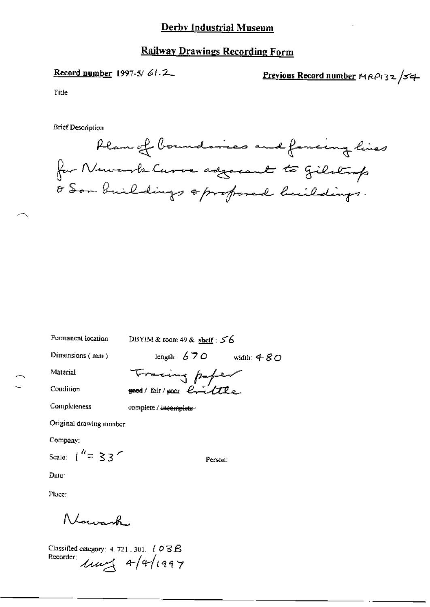#### **Railway Drawings Recording Form**

#### Record number 1997-5/61.2

### Previous Record number MRP132/54

Title

**Brief Description** 



Permanent location

DBYIM & room 49 & shelf : 56

Tracing paper

good/fair/poor eviltle

Dimensions (mm)

length:  $670$  width:  $480$ 

Material

Condition

complete / incomplete-

Original drawing number

Company:

Completeness

Scale:  $\binom{n}{1}$  = 33

Person:

Date:

Place:

Nawak

Classified category: 4, 721, 301,  $($  O  $\overline{3}$   $\overline{B}$ Recorder:  $\mu$ ung  $4/(997)$